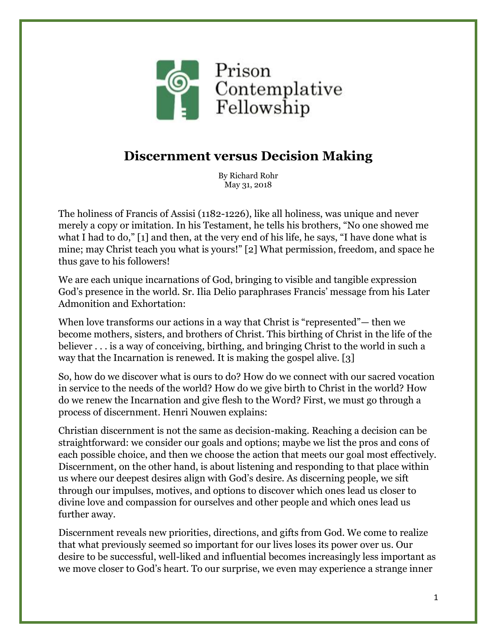

## **Discernment versus Decision Making**

By Richard Rohr May 31, 2018

The holiness of Francis of Assisi (1182-1226), like all holiness, was unique and never merely a copy or imitation. In his Testament, he tells his brothers, "No one showed me what I had to do," [1] and then, at the very end of his life, he says, "I have done what is mine; may Christ teach you what is yours!" [2] What permission, freedom, and space he thus gave to his followers!

We are each unique incarnations of God, bringing to visible and tangible expression God's presence in the world. Sr. Ilia Delio paraphrases Francis' message from his Later Admonition and Exhortation:

When love transforms our actions in a way that Christ is "represented"— then we become mothers, sisters, and brothers of Christ. This birthing of Christ in the life of the believer . . . is a way of conceiving, birthing, and bringing Christ to the world in such a way that the Incarnation is renewed. It is making the gospel alive. [3]

So, how do we discover what is ours to do? How do we connect with our sacred vocation in service to the needs of the world? How do we give birth to Christ in the world? How do we renew the Incarnation and give flesh to the Word? First, we must go through a process of discernment. Henri Nouwen explains:

Christian discernment is not the same as decision-making. Reaching a decision can be straightforward: we consider our goals and options; maybe we list the pros and cons of each possible choice, and then we choose the action that meets our goal most effectively. Discernment, on the other hand, is about listening and responding to that place within us where our deepest desires align with God's desire. As discerning people, we sift through our impulses, motives, and options to discover which ones lead us closer to divine love and compassion for ourselves and other people and which ones lead us further away.

Discernment reveals new priorities, directions, and gifts from God. We come to realize that what previously seemed so important for our lives loses its power over us. Our desire to be successful, well-liked and influential becomes increasingly less important as we move closer to God's heart. To our surprise, we even may experience a strange inner